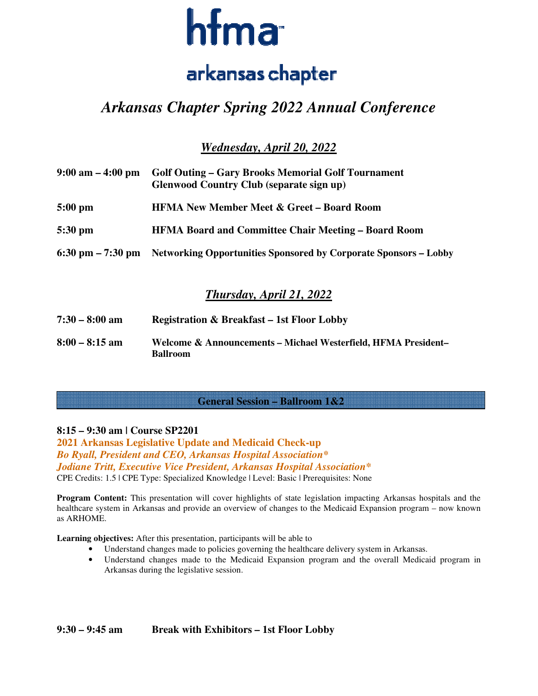

# *Arkansas Chapter Spring 2022 Annual Conference*

*Wednesday, April 20, 2022* 

| $9:00 \text{ am} - 4:00 \text{ pm}$ | <b>Golf Outing – Gary Brooks Memorial Golf Tournament</b><br><b>Glenwood Country Club (separate sign up)</b> |  |
|-------------------------------------|--------------------------------------------------------------------------------------------------------------|--|
| 5:00 pm                             | <b>HFMA New Member Meet &amp; Greet – Board Room</b>                                                         |  |
| 5:30 pm                             | <b>HFMA Board and Committee Chair Meeting – Board Room</b>                                                   |  |
|                                     | 6:30 pm – 7:30 pm – Networking Opportunities Sponsored by Corporate Sponsors – Lobby                         |  |

# *Thursday, April 21, 2022*

| $7:30 - 8:00$ am | <b>Registration &amp; Breakfast – 1st Floor Lobby</b>                             |
|------------------|-----------------------------------------------------------------------------------|
| $8:00 - 8:15$ am | Welcome & Announcements – Michael Westerfield, HFMA President–<br><b>Ballroom</b> |

**General Session – Ballroom 1&2**

## **8:15 – 9:30 am | Course SP2201**

 $\overline{a}$ 

**2021 Arkansas Legislative Update and Medicaid Check-up**  *Bo Ryall, President and CEO, Arkansas Hospital Association\* Jodiane Tritt, Executive Vice President, Arkansas Hospital Association\**  CPE Credits: 1.5 | CPE Type: Specialized Knowledge | Level: Basic | Prerequisites: None

**Program Content:** This presentation will cover highlights of state legislation impacting Arkansas hospitals and the healthcare system in Arkansas and provide an overview of changes to the Medicaid Expansion program – now known as ARHOME.

**Learning objectives:** After this presentation, participants will be able to

- Understand changes made to policies governing the healthcare delivery system in Arkansas.
- Understand changes made to the Medicaid Expansion program and the overall Medicaid program in Arkansas during the legislative session.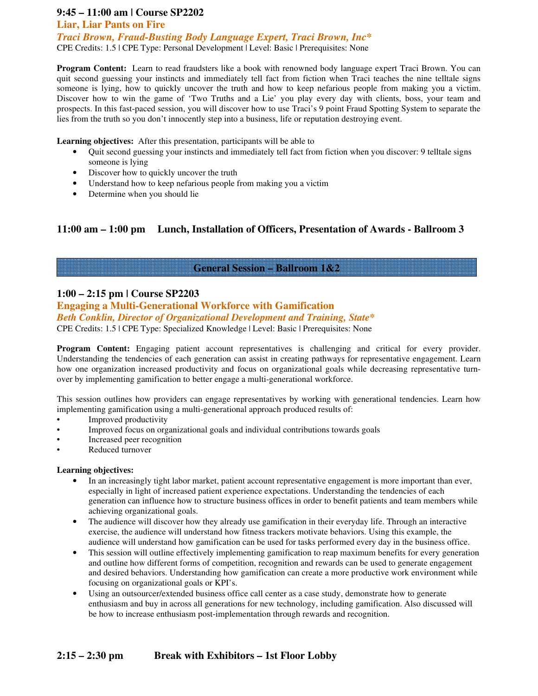## **9:45 – 11:00 am | Course SP2202**

#### **Liar, Liar Pants on Fire**

*Traci Brown, Fraud-Busting Body Language Expert, Traci Brown, Inc\**  CPE Credits: 1.5 | CPE Type: Personal Development | Level: Basic | Prerequisites: None

**Program Content:** Learn to read fraudsters like a book with renowned body language expert Traci Brown. You can quit second guessing your instincts and immediately tell fact from fiction when Traci teaches the nine telltale signs someone is lying, how to quickly uncover the truth and how to keep nefarious people from making you a victim. Discover how to win the game of 'Two Truths and a Lie' you play every day with clients, boss, your team and prospects. In this fast-paced session, you will discover how to use Traci's 9 point Fraud Spotting System to separate the lies from the truth so you don't innocently step into a business, life or reputation destroying event.

**Learning objectives:** After this presentation, participants will be able to

- Quit second guessing your instincts and immediately tell fact from fiction when you discover: 9 telltale signs someone is lying
- Discover how to quickly uncover the truth
- Understand how to keep nefarious people from making you a victim
- Determine when you should lie

## **11:00 am – 1:00 pm Lunch, Installation of Officers, Presentation of Awards - Ballroom 3**

## **General Session – Ballroom 1&2**

#### **1:00 – 2:15 pm | Course SP2203**

**Engaging a Multi-Generational Workforce with Gamification** 

*Beth Conklin, Director of Organizational Development and Training, State\** 

CPE Credits: 1.5 | CPE Type: Specialized Knowledge | Level: Basic | Prerequisites: None

**Program Content:** Engaging patient account representatives is challenging and critical for every provider. Understanding the tendencies of each generation can assist in creating pathways for representative engagement. Learn how one organization increased productivity and focus on organizational goals while decreasing representative turnover by implementing gamification to better engage a multi-generational workforce.

This session outlines how providers can engage representatives by working with generational tendencies. Learn how implementing gamification using a multi-generational approach produced results of:

- Improved productivity
- Improved focus on organizational goals and individual contributions towards goals
- Increased peer recognition
- Reduced turnover

#### **Learning objectives:**

- In an increasingly tight labor market, patient account representative engagement is more important than ever, especially in light of increased patient experience expectations. Understanding the tendencies of each generation can influence how to structure business offices in order to benefit patients and team members while achieving organizational goals.
- The audience will discover how they already use gamification in their everyday life. Through an interactive exercise, the audience will understand how fitness trackers motivate behaviors. Using this example, the audience will understand how gamification can be used for tasks performed every day in the business office.
- This session will outline effectively implementing gamification to reap maximum benefits for every generation and outline how different forms of competition, recognition and rewards can be used to generate engagement and desired behaviors. Understanding how gamification can create a more productive work environment while focusing on organizational goals or KPI's.
- Using an outsourcer/extended business office call center as a case study, demonstrate how to generate enthusiasm and buy in across all generations for new technology, including gamification. Also discussed will be how to increase enthusiasm post-implementation through rewards and recognition.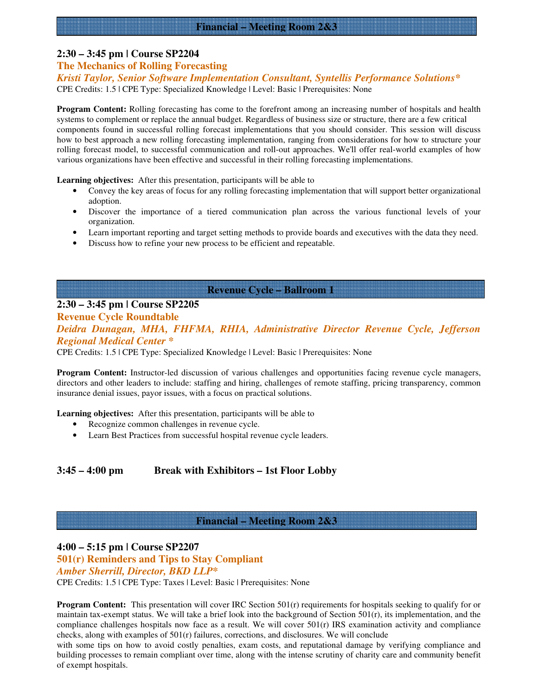## **2:30 – 3:45 pm | Course SP2204**

## **The Mechanics of Rolling Forecasting**

*Kristi Taylor, Senior Software Implementation Consultant, Syntellis Performance Solutions\**  CPE Credits: 1.5 | CPE Type: Specialized Knowledge | Level: Basic | Prerequisites: None

**Program Content:** Rolling forecasting has come to the forefront among an increasing number of hospitals and health systems to complement or replace the annual budget. Regardless of business size or structure, there are a few critical components found in successful rolling forecast implementations that you should consider. This session will discuss how to best approach a new rolling forecasting implementation, ranging from considerations for how to structure your rolling forecast model, to successful communication and roll-out approaches. We'll offer real-world examples of how various organizations have been effective and successful in their rolling forecasting implementations.

**Learning objectives:** After this presentation, participants will be able to

- Convey the key areas of focus for any rolling forecasting implementation that will support better organizational adoption.
- Discover the importance of a tiered communication plan across the various functional levels of your organization.
- Learn important reporting and target setting methods to provide boards and executives with the data they need.
- Discuss how to refine your new process to be efficient and repeatable.

## **Revenue Cycle – Ballroom 1**

## **2:30 – 3:45 pm | Course SP2205**

**Revenue Cycle Roundtable** 

*Deidra Dunagan, MHA, FHFMA, RHIA, Administrative Director Revenue Cycle, Jefferson Regional Medical Center \** 

CPE Credits: 1.5 | CPE Type: Specialized Knowledge | Level: Basic | Prerequisites: None

**Program Content:** Instructor-led discussion of various challenges and opportunities facing revenue cycle managers, directors and other leaders to include: staffing and hiring, challenges of remote staffing, pricing transparency, common insurance denial issues, payor issues, with a focus on practical solutions.

**Learning objectives:** After this presentation, participants will be able to

- Recognize common challenges in revenue cycle.
- Learn Best Practices from successful hospital revenue cycle leaders.

**3:45 – 4:00 pm Break with Exhibitors – 1st Floor Lobby** 

#### **Financial – Meeting Room 2&3**

#### **4:00 – 5:15 pm | Course SP2207**

**501(r) Reminders and Tips to Stay Compliant** 

*Amber Sherrill, Director, BKD LLP\** 

CPE Credits: 1.5 | CPE Type: Taxes | Level: Basic | Prerequisites: None

**Program Content:** This presentation will cover IRC Section 501(r) requirements for hospitals seeking to qualify for or maintain tax-exempt status. We will take a brief look into the background of Section  $501(r)$ , its implementation, and the compliance challenges hospitals now face as a result. We will cover  $501(r)$  IRS examination activity and compliance checks, along with examples of  $501(r)$  failures, corrections, and disclosures. We will conclude

with some tips on how to avoid costly penalties, exam costs, and reputational damage by verifying compliance and building processes to remain compliant over time, along with the intense scrutiny of charity care and community benefit of exempt hospitals.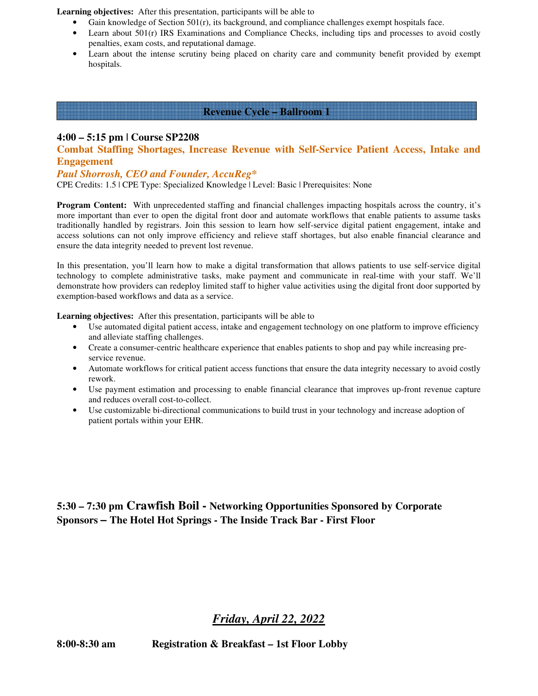**Learning objectives:** After this presentation, participants will be able to

- Gain knowledge of Section  $501(r)$ , its background, and compliance challenges exempt hospitals face.
- Learn about 501(r) IRS Examinations and Compliance Checks, including tips and processes to avoid costly penalties, exam costs, and reputational damage.
- Learn about the intense scrutiny being placed on charity care and community benefit provided by exempt hospitals.

#### **Revenue Cycle – Ballroom 1**

## **4:00 – 5:15 pm | Course SP2208**

**Combat Staffing Shortages, Increase Revenue with Self-Service Patient Access, Intake and Engagement** 

#### *Paul Shorrosh, CEO and Founder, AccuReg\**

CPE Credits: 1.5 | CPE Type: Specialized Knowledge | Level: Basic | Prerequisites: None

**Program Content:** With unprecedented staffing and financial challenges impacting hospitals across the country, it's more important than ever to open the digital front door and automate workflows that enable patients to assume tasks traditionally handled by registrars. Join this session to learn how self-service digital patient engagement, intake and access solutions can not only improve efficiency and relieve staff shortages, but also enable financial clearance and ensure the data integrity needed to prevent lost revenue.

In this presentation, you'll learn how to make a digital transformation that allows patients to use self-service digital technology to complete administrative tasks, make payment and communicate in real-time with your staff. We'll demonstrate how providers can redeploy limited staff to higher value activities using the digital front door supported by exemption-based workflows and data as a service.

**Learning objectives:** After this presentation, participants will be able to

- Use automated digital patient access, intake and engagement technology on one platform to improve efficiency and alleviate staffing challenges.
- Create a consumer-centric healthcare experience that enables patients to shop and pay while increasing preservice revenue.
- Automate workflows for critical patient access functions that ensure the data integrity necessary to avoid costly rework.
- Use payment estimation and processing to enable financial clearance that improves up-front revenue capture and reduces overall cost-to-collect.
- Use customizable bi-directional communications to build trust in your technology and increase adoption of patient portals within your EHR.

**5:30 – 7:30 pm Crawfish Boil - Networking Opportunities Sponsored by Corporate Sponsors – The Hotel Hot Springs - The Inside Track Bar - First Floor** 

## *Friday, April 22, 2022*

**8:00-8:30 am Registration & Breakfast – 1st Floor Lobby**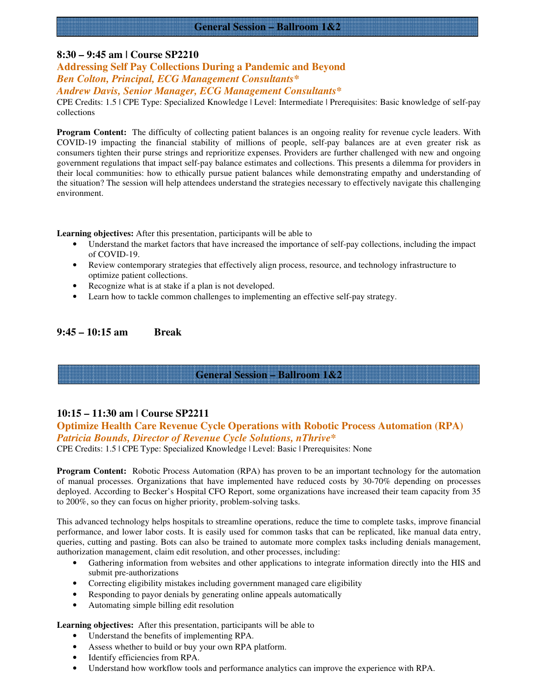## **General Session – Ballroom 1&2**

#### **8:30 – 9:45 am | Course SP2210**

# **Addressing Self Pay Collections During a Pandemic and Beyond**

*Ben Colton, Principal, ECG Management Consultants\** 

*Andrew Davis, Senior Manager, ECG Management Consultants\** 

CPE Credits: 1.5 | CPE Type: Specialized Knowledge | Level: Intermediate | Prerequisites: Basic knowledge of self-pay collections

**Program Content:** The difficulty of collecting patient balances is an ongoing reality for revenue cycle leaders. With COVID-19 impacting the financial stability of millions of people, self-pay balances are at even greater risk as consumers tighten their purse strings and reprioritize expenses. Providers are further challenged with new and ongoing government regulations that impact self-pay balance estimates and collections. This presents a dilemma for providers in their local communities: how to ethically pursue patient balances while demonstrating empathy and understanding of the situation? The session will help attendees understand the strategies necessary to effectively navigate this challenging environment.

**Learning objectives:** After this presentation, participants will be able to

- Understand the market factors that have increased the importance of self-pay collections, including the impact of COVID-19.
- Review contemporary strategies that effectively align process, resource, and technology infrastructure to optimize patient collections.
- Recognize what is at stake if a plan is not developed.
- Learn how to tackle common challenges to implementing an effective self-pay strategy.

#### **9:45 – 10:15 am Break**

## **General Session – Ballroom 1&2**

#### **10:15 – 11:30 am | Course SP2211**

#### **Optimize Health Care Revenue Cycle Operations with Robotic Process Automation (RPA)**  *Patricia Bounds, Director of Revenue Cycle Solutions, nThrive\**

CPE Credits: 1.5 | CPE Type: Specialized Knowledge | Level: Basic | Prerequisites: None

**Program Content:** Robotic Process Automation (RPA) has proven to be an important technology for the automation of manual processes. Organizations that have implemented have reduced costs by 30-70% depending on processes deployed. According to Becker's Hospital CFO Report, some organizations have increased their team capacity from 35 to 200%, so they can focus on higher priority, problem-solving tasks.

This advanced technology helps hospitals to streamline operations, reduce the time to complete tasks, improve financial performance, and lower labor costs. It is easily used for common tasks that can be replicated, like manual data entry, queries, cutting and pasting. Bots can also be trained to automate more complex tasks including denials management, authorization management, claim edit resolution, and other processes, including:

- Gathering information from websites and other applications to integrate information directly into the HIS and submit pre-authorizations
- Correcting eligibility mistakes including government managed care eligibility
- Responding to payor denials by generating online appeals automatically
- Automating simple billing edit resolution

**Learning objectives:** After this presentation, participants will be able to

- Understand the benefits of implementing RPA.
- Assess whether to build or buy your own RPA platform.
- Identify efficiencies from RPA.
- Understand how workflow tools and performance analytics can improve the experience with RPA.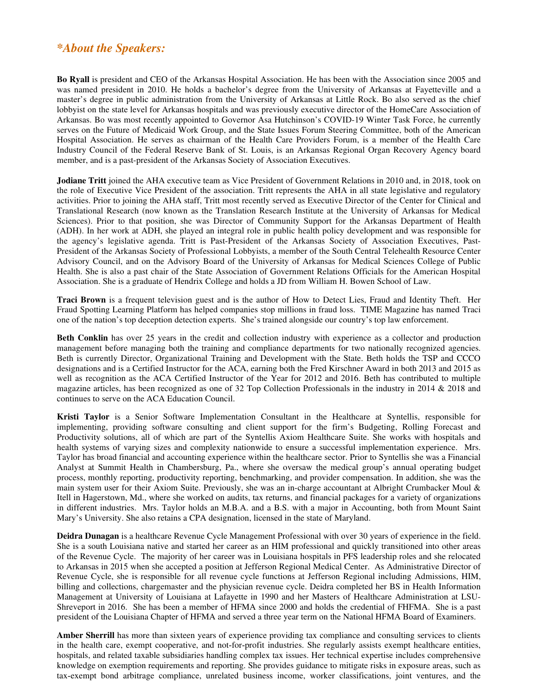# *\*About the Speakers:*

**Bo Ryall** is president and CEO of the Arkansas Hospital Association. He has been with the Association since 2005 and was named president in 2010. He holds a bachelor's degree from the University of Arkansas at Fayetteville and a master's degree in public administration from the University of Arkansas at Little Rock. Bo also served as the chief lobbyist on the state level for Arkansas hospitals and was previously executive director of the HomeCare Association of Arkansas. Bo was most recently appointed to Governor Asa Hutchinson's COVID-19 Winter Task Force, he currently serves on the Future of Medicaid Work Group, and the State Issues Forum Steering Committee, both of the American Hospital Association. He serves as chairman of the Health Care Providers Forum, is a member of the Health Care Industry Council of the Federal Reserve Bank of St. Louis, is an Arkansas Regional Organ Recovery Agency board member, and is a past-president of the Arkansas Society of Association Executives.

**Jodiane Tritt** joined the AHA executive team as Vice President of Government Relations in 2010 and, in 2018, took on the role of Executive Vice President of the association. Tritt represents the AHA in all state legislative and regulatory activities. Prior to joining the AHA staff, Tritt most recently served as Executive Director of the Center for Clinical and Translational Research (now known as the Translation Research Institute at the University of Arkansas for Medical Sciences). Prior to that position, she was Director of Community Support for the Arkansas Department of Health (ADH). In her work at ADH, she played an integral role in public health policy development and was responsible for the agency's legislative agenda. Tritt is Past-President of the Arkansas Society of Association Executives, Past-President of the Arkansas Society of Professional Lobbyists, a member of the South Central Telehealth Resource Center Advisory Council, and on the Advisory Board of the University of Arkansas for Medical Sciences College of Public Health. She is also a past chair of the State Association of Government Relations Officials for the American Hospital Association. She is a graduate of Hendrix College and holds a JD from William H. Bowen School of Law.

**Traci Brown** is a frequent television guest and is the author of How to Detect Lies, Fraud and Identity Theft. Her Fraud Spotting Learning Platform has helped companies stop millions in fraud loss. TIME Magazine has named Traci one of the nation's top deception detection experts. She's trained alongside our country's top law enforcement.

**Beth Conklin** has over 25 years in the credit and collection industry with experience as a collector and production management before managing both the training and compliance departments for two nationally recognized agencies. Beth is currently Director, Organizational Training and Development with the State. Beth holds the TSP and CCCO designations and is a Certified Instructor for the ACA, earning both the Fred Kirschner Award in both 2013 and 2015 as well as recognition as the ACA Certified Instructor of the Year for 2012 and 2016. Beth has contributed to multiple magazine articles, has been recognized as one of 32 Top Collection Professionals in the industry in 2014 & 2018 and continues to serve on the ACA Education Council.

**Kristi Taylor** is a Senior Software Implementation Consultant in the Healthcare at Syntellis, responsible for implementing, providing software consulting and client support for the firm's Budgeting, Rolling Forecast and Productivity solutions, all of which are part of the Syntellis Axiom Healthcare Suite. She works with hospitals and health systems of varying sizes and complexity nationwide to ensure a successful implementation experience. Mrs. Taylor has broad financial and accounting experience within the healthcare sector. Prior to Syntellis she was a Financial Analyst at Summit Health in Chambersburg, Pa., where she oversaw the medical group's annual operating budget process, monthly reporting, productivity reporting, benchmarking, and provider compensation. In addition, she was the main system user for their Axiom Suite. Previously, she was an in-charge accountant at Albright Crumbacker Moul & Itell in Hagerstown, Md., where she worked on audits, tax returns, and financial packages for a variety of organizations in different industries. Mrs. Taylor holds an M.B.A. and a B.S. with a major in Accounting, both from Mount Saint Mary's University. She also retains a CPA designation, licensed in the state of Maryland.

**Deidra Dunagan** is a healthcare Revenue Cycle Management Professional with over 30 years of experience in the field. She is a south Louisiana native and started her career as an HIM professional and quickly transitioned into other areas of the Revenue Cycle. The majority of her career was in Louisiana hospitals in PFS leadership roles and she relocated to Arkansas in 2015 when she accepted a position at Jefferson Regional Medical Center. As Administrative Director of Revenue Cycle, she is responsible for all revenue cycle functions at Jefferson Regional including Admissions, HIM, billing and collections, chargemaster and the physician revenue cycle. Deidra completed her BS in Health Information Management at University of Louisiana at Lafayette in 1990 and her Masters of Healthcare Administration at LSU-Shreveport in 2016. She has been a member of HFMA since 2000 and holds the credential of FHFMA. She is a past president of the Louisiana Chapter of HFMA and served a three year term on the National HFMA Board of Examiners.

**Amber Sherrill** has more than sixteen years of experience providing tax compliance and consulting services to clients in the health care, exempt cooperative, and not-for-profit industries. She regularly assists exempt healthcare entities, hospitals, and related taxable subsidiaries handling complex tax issues. Her technical expertise includes comprehensive knowledge on exemption requirements and reporting. She provides guidance to mitigate risks in exposure areas, such as tax‐exempt bond arbitrage compliance, unrelated business income, worker classifications, joint ventures, and the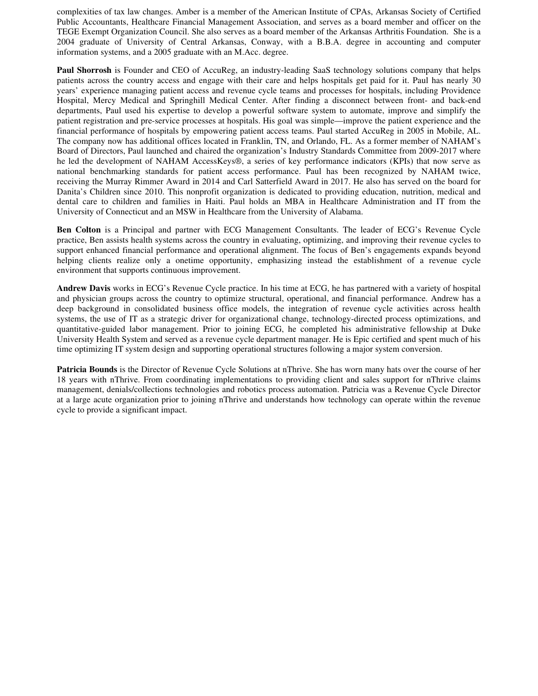complexities of tax law changes. Amber is a member of the American Institute of CPAs, Arkansas Society of Certified Public Accountants, Healthcare Financial Management Association, and serves as a board member and officer on the TEGE Exempt Organization Council. She also serves as a board member of the Arkansas Arthritis Foundation. She is a 2004 graduate of University of Central Arkansas, Conway, with a B.B.A. degree in accounting and computer information systems, and a 2005 graduate with an M.Acc. degree.

**Paul Shorrosh** is Founder and CEO of AccuReg, an industry-leading SaaS technology solutions company that helps patients across the country access and engage with their care and helps hospitals get paid for it. Paul has nearly 30 years' experience managing patient access and revenue cycle teams and processes for hospitals, including Providence Hospital, Mercy Medical and Springhill Medical Center. After finding a disconnect between front- and back-end departments, Paul used his expertise to develop a powerful software system to automate, improve and simplify the patient registration and pre-service processes at hospitals. His goal was simple—improve the patient experience and the financial performance of hospitals by empowering patient access teams. Paul started AccuReg in 2005 in Mobile, AL. The company now has additional offices located in Franklin, TN, and Orlando, FL. As a former member of NAHAM's Board of Directors, Paul launched and chaired the organization's Industry Standards Committee from 2009-2017 where he led the development of NAHAM AccessKeys®, a series of key performance indicators (KPIs) that now serve as national benchmarking standards for patient access performance. Paul has been recognized by NAHAM twice, receiving the Murray Rimmer Award in 2014 and Carl Satterfield Award in 2017. He also has served on the board for Danita's Children since 2010. This nonprofit organization is dedicated to providing education, nutrition, medical and dental care to children and families in Haiti. Paul holds an MBA in Healthcare Administration and IT from the University of Connecticut and an MSW in Healthcare from the University of Alabama.

**Ben Colton** is a Principal and partner with ECG Management Consultants. The leader of ECG's Revenue Cycle practice, Ben assists health systems across the country in evaluating, optimizing, and improving their revenue cycles to support enhanced financial performance and operational alignment. The focus of Ben's engagements expands beyond helping clients realize only a onetime opportunity, emphasizing instead the establishment of a revenue cycle environment that supports continuous improvement.

**Andrew Davis** works in ECG's Revenue Cycle practice. In his time at ECG, he has partnered with a variety of hospital and physician groups across the country to optimize structural, operational, and financial performance. Andrew has a deep background in consolidated business office models, the integration of revenue cycle activities across health systems, the use of IT as a strategic driver for organizational change, technology-directed process optimizations, and quantitative-guided labor management. Prior to joining ECG, he completed his administrative fellowship at Duke University Health System and served as a revenue cycle department manager. He is Epic certified and spent much of his time optimizing IT system design and supporting operational structures following a major system conversion.

**Patricia Bounds** is the Director of Revenue Cycle Solutions at nThrive. She has worn many hats over the course of her 18 years with nThrive. From coordinating implementations to providing client and sales support for nThrive claims management, denials/collections technologies and robotics process automation. Patricia was a Revenue Cycle Director at a large acute organization prior to joining nThrive and understands how technology can operate within the revenue cycle to provide a significant impact.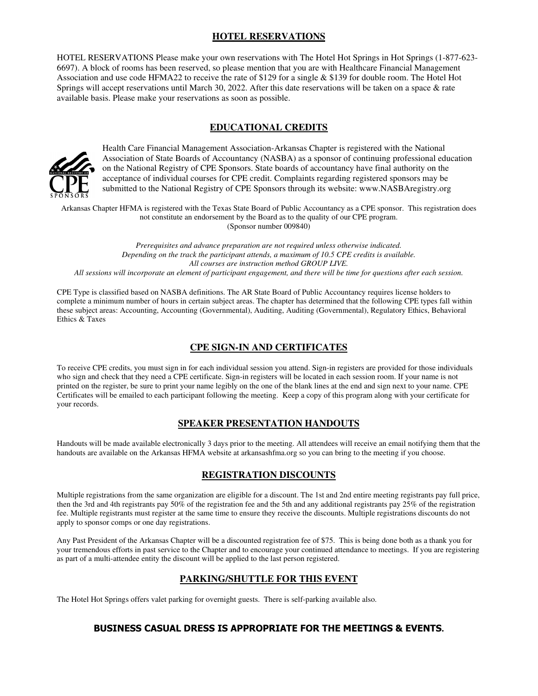## **HOTEL RESERVATIONS**

HOTEL RESERVATIONS Please make your own reservations with The Hotel Hot Springs in Hot Springs (1-877-623- 6697). A block of rooms has been reserved, so please mention that you are with Healthcare Financial Management Association and use code HFMA22 to receive the rate of \$129 for a single & \$139 for double room. The Hotel Hot Springs will accept reservations until March 30, 2022. After this date reservations will be taken on a space & rate available basis. Please make your reservations as soon as possible.

## **EDUCATIONAL CREDITS**



Health Care Financial Management Association-Arkansas Chapter is registered with the National Association of State Boards of Accountancy (NASBA) as a sponsor of continuing professional education on the National Registry of CPE Sponsors. State boards of accountancy have final authority on the acceptance of individual courses for CPE credit. Complaints regarding registered sponsors may be submitted to the National Registry of CPE Sponsors through its website: www.NASBAregistry.org

Arkansas Chapter HFMA is registered with the Texas State Board of Public Accountancy as a CPE sponsor. This registration does not constitute an endorsement by the Board as to the quality of our CPE program. (Sponsor number 009840)

*Prerequisites and advance preparation are not required unless otherwise indicated. Depending on the track the participant attends, a maximum of 10.5 CPE credits is available. All courses are instruction method GROUP LIVE. All sessions will incorporate an element of participant engagement, and there will be time for questions after each session.* 

CPE Type is classified based on NASBA definitions. The AR State Board of Public Accountancy requires license holders to complete a minimum number of hours in certain subject areas. The chapter has determined that the following CPE types fall within these subject areas: Accounting, Accounting (Governmental), Auditing, Auditing (Governmental), Regulatory Ethics, Behavioral Ethics & Taxes

## **CPE SIGN-IN AND CERTIFICATES**

To receive CPE credits, you must sign in for each individual session you attend. Sign-in registers are provided for those individuals who sign and check that they need a CPE certificate. Sign-in registers will be located in each session room. If your name is not printed on the register, be sure to print your name legibly on the one of the blank lines at the end and sign next to your name. CPE Certificates will be emailed to each participant following the meeting. Keep a copy of this program along with your certificate for your records.

#### **SPEAKER PRESENTATION HANDOUTS**

Handouts will be made available electronically 3 days prior to the meeting. All attendees will receive an email notifying them that the handouts are available on the Arkansas HFMA website at arkansashfma.org so you can bring to the meeting if you choose.

#### **REGISTRATION DISCOUNTS**

Multiple registrations from the same organization are eligible for a discount. The 1st and 2nd entire meeting registrants pay full price, then the 3rd and 4th registrants pay 50% of the registration fee and the 5th and any additional registrants pay 25% of the registration fee. Multiple registrants must register at the same time to ensure they receive the discounts. Multiple registrations discounts do not apply to sponsor comps or one day registrations.

Any Past President of the Arkansas Chapter will be a discounted registration fee of \$75. This is being done both as a thank you for your tremendous efforts in past service to the Chapter and to encourage your continued attendance to meetings. If you are registering as part of a multi-attendee entity the discount will be applied to the last person registered.

#### **PARKING/SHUTTLE FOR THIS EVENT**

The Hotel Hot Springs offers valet parking for overnight guests. There is self-parking available also.

#### **BUSINESS CASUAL DRESS IS APPROPRIATE FOR THE MEETINGS & EVENTS.**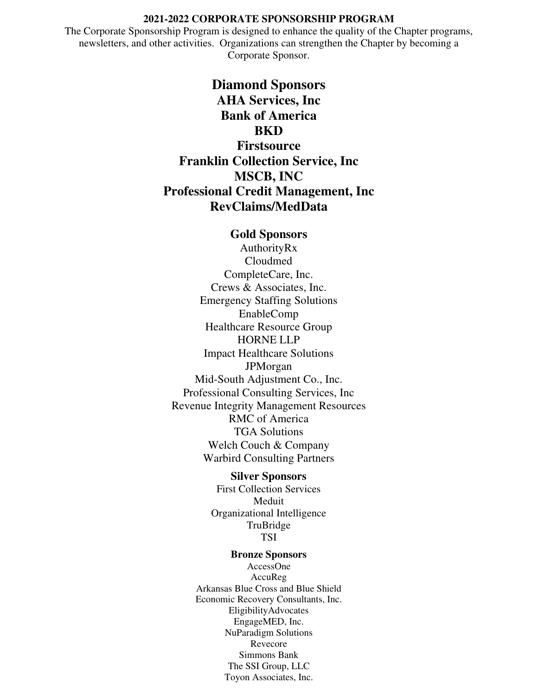#### **2021-2022 CORPORATE SPONSORSHIP PROGRAM**

The Corporate Sponsorship Program is designed to enhance the quality of the Chapter programs, newsletters, and other activities. Organizations can strengthen the Chapter by becoming a Corporate Sponsor.

> **Diamond Sponsors AHA Services, Inc Bank of America BKD**

**Firstsource Franklin Collection Service, Inc MSCB, INC Professional Credit Management, Inc RevClaims/MedData** 

## **Gold Sponsors**

AuthorityRx Cloudmed CompleteCare, Inc. Crews & Associates, Inc. Emergency Staffing Solutions EnableComp Healthcare Resource Group HORNE LLP Impact Healthcare Solutions JPMorgan Mid-South Adjustment Co., Inc. Professional Consulting Services, Inc Revenue Integrity Management Resources RMC of America TGA Solutions Welch Couch & Company Warbird Consulting Partners

#### **Silver Sponsors**

First Collection Services Meduit Organizational Intelligence TruBridge TSI

#### **Bronze Sponsors**

AccessOne AccuReg Arkansas Blue Cross and Blue Shield Economic Recovery Consultants, Inc. EligibilityAdvocates EngageMED, Inc. NuParadigm Solutions Revecore Simmons Bank The SSI Group, LLC Toyon Associates, Inc.